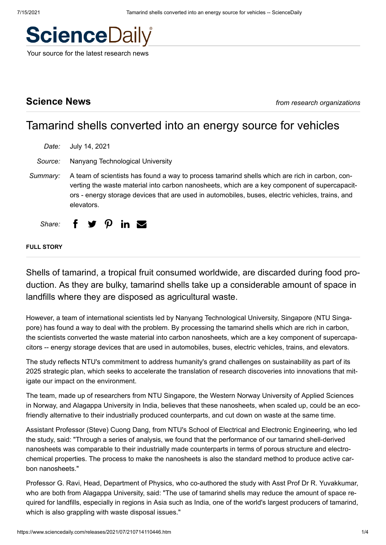

Your source for the latest research news

**Science News** *from research organizations*

# Tamarind shells converted into an energy source for vehicles

*Date:* July 14, 2021

*Source:* Nanyang Technological University

*Summary:* A team of scientists has found a way to process tamarind shells which are rich in carbon, converting the waste material into carbon nanosheets, which are a key component of supercapacitors - energy storage devices that are used in automobiles, buses, electric vehicles, trains, and elevators.

*Share:* f  $\vee$   $\Omega$  in  $\infty$ 

### **FULL STORY**

Shells of tamarind, a tropical fruit consumed worldwide, are discarded during food production. As they are bulky, tamarind shells take up a considerable amount of space in landfills where they are disposed as agricultural waste.

However, a team of international scientists led by Nanyang Technological University, Singapore (NTU Singapore) has found a way to deal with the problem. By processing the tamarind shells which are rich in carbon, the scientists converted the waste material into carbon nanosheets, which are a key component of supercapacitors -- energy storage devices that are used in automobiles, buses, electric vehicles, trains, and elevators.

The study reflects NTU's commitment to address humanity's grand challenges on sustainability as part of its 2025 strategic plan, which seeks to accelerate the translation of research discoveries into innovations that mitigate our impact on the environment.

The team, made up of researchers from NTU Singapore, the Western Norway University of Applied Sciences in Norway, and Alagappa University in India, believes that these nanosheets, when scaled up, could be an ecofriendly alternative to their industrially produced counterparts, and cut down on waste at the same time.

Assistant Professor (Steve) Cuong Dang, from NTU's School of Electrical and Electronic Engineering, who led the study, said: "Through a series of analysis, we found that the performance of our tamarind shell-derived nanosheets was comparable to their industrially made counterparts in terms of porous structure and electrochemical properties. The process to make the nanosheets is also the standard method to produce active carbon nanosheets."

Professor G. Ravi, Head, Department of Physics, who co-authored the study with Asst Prof Dr R. Yuvakkumar, who are both from Alagappa University, said: "The use of tamarind shells may reduce the amount of space required for landfills, especially in regions in Asia such as India, one of the world's largest producers of tamarind, which is also grappling with waste disposal issues."